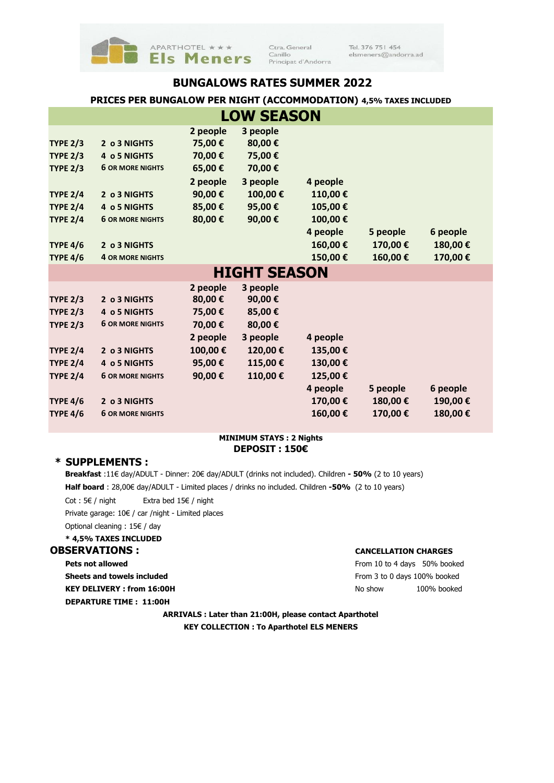

Ctra. General  $\operatorname{Canillo}$ Principat d'Andorra Tel. 376 751 454 elsmeners@andorra.ad

## **BUNGALOWS RATES SUMMER 2022**

## **PRICES PER BUNGALOW PER NIGHT (ACCOMMODATION) 4,5% TAXES INCLUDED**

| <b>LOW SEASON</b> |                         |          |                     |          |          |          |  |  |  |  |  |
|-------------------|-------------------------|----------|---------------------|----------|----------|----------|--|--|--|--|--|
|                   |                         | 2 people | 3 people            |          |          |          |  |  |  |  |  |
| <b>TYPE 2/3</b>   | 2 o 3 NIGHTS            | 75,00 €  | 80,00€              |          |          |          |  |  |  |  |  |
| <b>TYPE 2/3</b>   | 4 o 5 NIGHTS            | 70,00€   | 75,00€              |          |          |          |  |  |  |  |  |
| <b>TYPE 2/3</b>   | <b>6 OR MORE NIGHTS</b> | 65,00€   | 70,00€              |          |          |          |  |  |  |  |  |
|                   |                         | 2 people | 3 people            | 4 people |          |          |  |  |  |  |  |
| <b>TYPE 2/4</b>   | 2 o 3 NIGHTS            | 90,00€   | 100,00€             | 110,00€  |          |          |  |  |  |  |  |
| <b>TYPE 2/4</b>   | 4 o 5 NIGHTS            | 85,00€   | 95,00€              | 105,00€  |          |          |  |  |  |  |  |
| <b>TYPE 2/4</b>   | <b>6 OR MORE NIGHTS</b> | 80,00€   | 90,00€              | 100,00€  |          |          |  |  |  |  |  |
|                   |                         |          |                     | 4 people | 5 people | 6 people |  |  |  |  |  |
| <b>TYPE 4/6</b>   | 2 o 3 NIGHTS            |          |                     | 160,00€  | 170,00€  | 180,00€  |  |  |  |  |  |
| <b>TYPE 4/6</b>   | <b>4 OR MORE NIGHTS</b> |          |                     | 150,00€  | 160,00€  | 170,00€  |  |  |  |  |  |
|                   |                         |          | <b>HIGHT SEASON</b> |          |          |          |  |  |  |  |  |
|                   |                         | 2 people | 3 people            |          |          |          |  |  |  |  |  |
| <b>TYPE 2/3</b>   | 2 o 3 NIGHTS            | 80,00€   | 90,00€              |          |          |          |  |  |  |  |  |
| <b>TYPE 2/3</b>   | 4 o 5 NIGHTS            | 75,00€   | 85,00€              |          |          |          |  |  |  |  |  |
| <b>TYPE 2/3</b>   | <b>6 OR MORE NIGHTS</b> | 70,00€   | 80,00€              |          |          |          |  |  |  |  |  |
|                   |                         | 2 people | 3 people            | 4 people |          |          |  |  |  |  |  |
| <b>TYPE 2/4</b>   | 2 o 3 NIGHTS            | 100,00€  | 120,00€             | 135,00€  |          |          |  |  |  |  |  |
| <b>TYPE 2/4</b>   | 4 o 5 NIGHTS            | 95,00€   | 115,00€             | 130,00€  |          |          |  |  |  |  |  |
| <b>TYPE 2/4</b>   | <b>6 OR MORE NIGHTS</b> | 90,00€   | 110,00€             | 125,00€  |          |          |  |  |  |  |  |
|                   |                         |          |                     | 4 people | 5 people | 6 people |  |  |  |  |  |
| <b>TYPE 4/6</b>   | 2 o 3 NIGHTS            |          |                     | 170,00€  | 180,00€  | 190,00€  |  |  |  |  |  |
| <b>TYPE 4/6</b>   | <b>6 OR MORE NIGHTS</b> |          |                     | 160,00€  | 170,00€  | 180,00€  |  |  |  |  |  |

### **DEPOSIT : 150€ MINIMUM STAYS : 2 Nights**

## **\* SUPPLEMENTS :**

**Breakfast** :11€ day/ADULT - Dinner: 20€ day/ADULT (drinks not included). Children **- 50%** (2 to 10 years) **Half board** : 28,00€ day/ADULT - Limited places / drinks no included. Children **-50%** (2 to 10 years)

Cot : 5€ / night Extra bed 15€ / night

Private garage: 10€ / car /night - Limited places

```
Optional cleaning : 15€ / day
```
#### **\* 4,5% TAXES INCLUDED**

#### **OBSERVATIONS : CANCELLATION CHARGES**

**Pets not allowed** From 10 to 4 days 50% booked **Sheets and towels included** From 3 to 0 days 100% booked

**DEPARTURE TIME : 11:00H** 

**KEY DELIVERY : from 16:00H**  $N$ o show 100% booked

**ARRIVALS : Later than 21:00H, please contact Aparthotel KEY COLLECTION : To Aparthotel ELS MENERS**